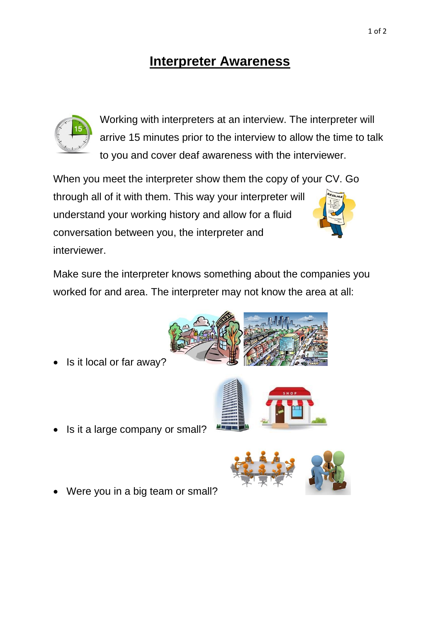## **Interpreter Awareness**



Working with interpreters at an interview. The interpreter will arrive 15 minutes prior to the interview to allow the time to talk to you and cover deaf awareness with the interviewer.

When you meet the interpreter show them the copy of your CV. Go through all of it with them. This way your interpreter will understand your working history and allow for a fluid conversation between you, the interpreter and interviewer.

Make sure the interpreter knows something about the companies you worked for and area. The interpreter may not know the area at all:

- Is it a large company or small?
- Were you in a big team or small?